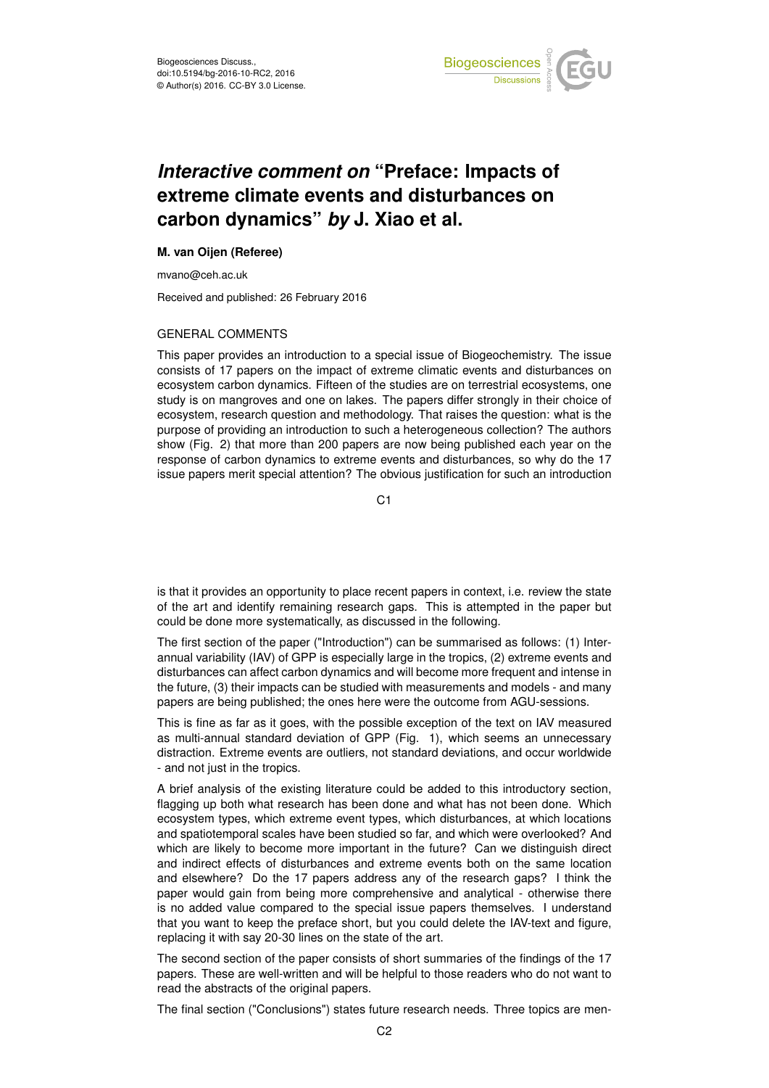

# *Interactive comment on* **"Preface: Impacts of extreme climate events and disturbances on carbon dynamics"** *by* **J. Xiao et al.**

#### **M. van Oijen (Referee)**

mvano@ceh.ac.uk

Received and published: 26 February 2016

## GENERAL COMMENTS

This paper provides an introduction to a special issue of Biogeochemistry. The issue consists of 17 papers on the impact of extreme climatic events and disturbances on ecosystem carbon dynamics. Fifteen of the studies are on terrestrial ecosystems, one study is on mangroves and one on lakes. The papers differ strongly in their choice of ecosystem, research question and methodology. That raises the question: what is the purpose of providing an introduction to such a heterogeneous collection? The authors show (Fig. 2) that more than 200 papers are now being published each year on the response of carbon dynamics to extreme events and disturbances, so why do the 17 issue papers merit special attention? The obvious justification for such an introduction

C<sub>1</sub>

is that it provides an opportunity to place recent papers in context, i.e. review the state of the art and identify remaining research gaps. This is attempted in the paper but could be done more systematically, as discussed in the following.

The first section of the paper ("Introduction") can be summarised as follows: (1) Interannual variability (IAV) of GPP is especially large in the tropics, (2) extreme events and disturbances can affect carbon dynamics and will become more frequent and intense in the future, (3) their impacts can be studied with measurements and models - and many papers are being published; the ones here were the outcome from AGU-sessions.

This is fine as far as it goes, with the possible exception of the text on IAV measured as multi-annual standard deviation of GPP (Fig. 1), which seems an unnecessary distraction. Extreme events are outliers, not standard deviations, and occur worldwide - and not just in the tropics.

A brief analysis of the existing literature could be added to this introductory section, flagging up both what research has been done and what has not been done. Which ecosystem types, which extreme event types, which disturbances, at which locations and spatiotemporal scales have been studied so far, and which were overlooked? And which are likely to become more important in the future? Can we distinguish direct and indirect effects of disturbances and extreme events both on the same location and elsewhere? Do the 17 papers address any of the research gaps? I think the paper would gain from being more comprehensive and analytical - otherwise there is no added value compared to the special issue papers themselves. I understand that you want to keep the preface short, but you could delete the IAV-text and figure, replacing it with say 20-30 lines on the state of the art.

The second section of the paper consists of short summaries of the findings of the 17 papers. These are well-written and will be helpful to those readers who do not want to read the abstracts of the original papers.

The final section ("Conclusions") states future research needs. Three topics are men-